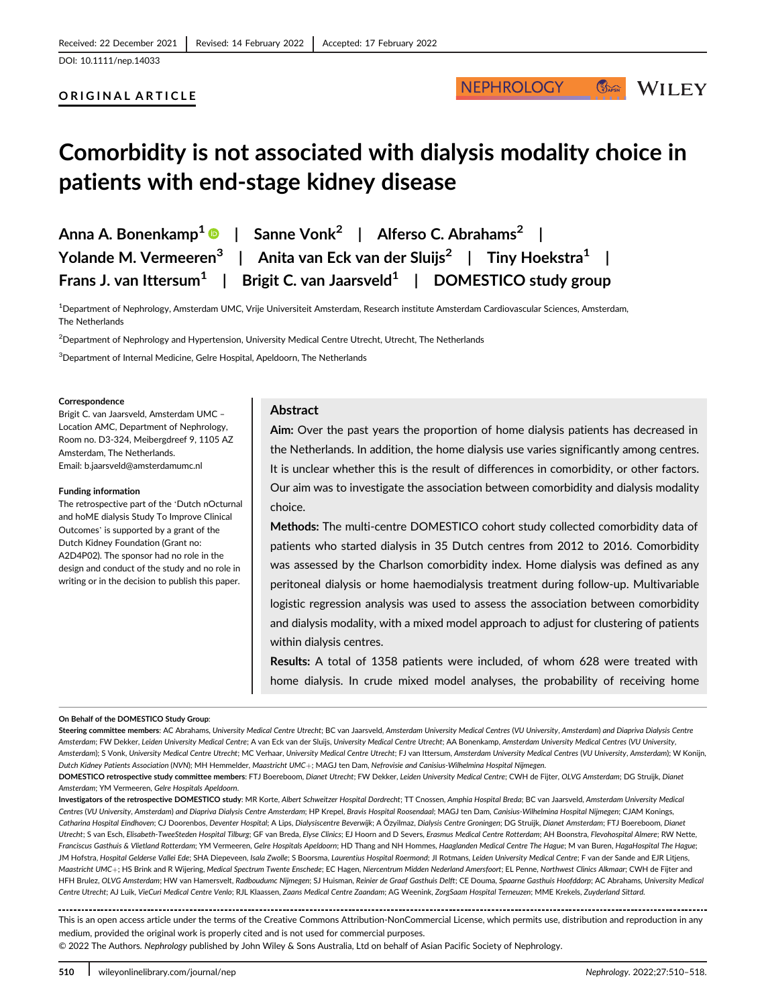## ORIGINAL ARTICLE

# **NEPHROLOGY**

**WILEY** 

 $\mathbb{C}_{\text{MPSN}}$ 

# Comorbidity is not associated with dialysis modality choice in patients with end-stage kidney disease

| Anna A. Bonenkamp $^{\mathbf{1}}$ $\bullet$ $\;\; \mid \;\;$ Sanne Vonk $^{\mathbf{2}}$ $\;\; \mid \;\;$ Alferso C. Abrahams $^{\mathbf{2}}$ $\;\; \mid \;\;$ |
|---------------------------------------------------------------------------------------------------------------------------------------------------------------|
| Yolande M. Vermeeren $^3\;\; \mid\;\;$ Anita van Eck van der Sluijs $^2\;\; \mid\;\;$ Tiny Hoekstra $^1\;\; \mid\;\;$                                         |
| Frans J. van Ittersum $^1$   Brigit C. van Jaarsveld $^1$   DOMESTICO study group                                                                             |

1 Department of Nephrology, Amsterdam UMC, Vrije Universiteit Amsterdam, Research institute Amsterdam Cardiovascular Sciences, Amsterdam, The Netherlands

 $^2$ Department of Nephrology and Hypertension, University Medical Centre Utrecht, Utrecht, The Netherlands

 $^3$ Department of Internal Medicine, Gelre Hospital, Apeldoorn, The Netherlands

#### Correspondence

Brigit C. van Jaarsveld, Amsterdam UMC – Location AMC, Department of Nephrology, Room no. D3-324, Meibergdreef 9, 1105 AZ Amsterdam, The Netherlands. Email: [b.jaarsveld@amsterdamumc.nl](mailto:b.jaarsveld@amsterdamumc.nl)

#### Funding information

The retrospective part of the 'Dutch nOcturnal and hoME dialysis Study To Improve Clinical Outcomes' is supported by a grant of the Dutch Kidney Foundation (Grant no: A2D4P02). The sponsor had no role in the design and conduct of the study and no role in writing or in the decision to publish this paper.

## Abstract

Aim: Over the past years the proportion of home dialysis patients has decreased in the Netherlands. In addition, the home dialysis use varies significantly among centres. It is unclear whether this is the result of differences in comorbidity, or other factors. Our aim was to investigate the association between comorbidity and dialysis modality choice.

Methods: The multi-centre DOMESTICO cohort study collected comorbidity data of patients who started dialysis in 35 Dutch centres from 2012 to 2016. Comorbidity was assessed by the Charlson comorbidity index. Home dialysis was defined as any peritoneal dialysis or home haemodialysis treatment during follow-up. Multivariable logistic regression analysis was used to assess the association between comorbidity and dialysis modality, with a mixed model approach to adjust for clustering of patients within dialysis centres.

Results: A total of 1358 patients were included, of whom 628 were treated with home dialysis. In crude mixed model analyses, the probability of receiving home

#### On Behalf of the DOMESTICO Study Group:

Steering committee members: AC Abrahams, University Medical Centre Utrecht; BC van Jaarsveld, Amsterdam University Medical Centres (VU University, Amsterdam) and Diapriva Dialysis Centre Amsterdam; FW Dekker, Leiden University Medical Centre; A van Eck van der Sluijs, University Medical Centre Utrecht; AA Bonenkamp, Amsterdam University Medical Centres (VU University, Amsterdam); S Vonk, University Medical Centre Utrecht; MC Verhaar, University Medical Centre Utrecht; FJ van Ittersum, Amsterdam University Medical Centres (VU University, Amsterdam); W Konijn, Dutch Kidney Patients Association (NVN); MH Hemmelder, Maastricht UMC+; MAGJ ten Dam, Nefrovisie and Canisius-Wilhelmina Hospital Nijmegen.

DOMESTICO retrospective study committee members: FTJ Boereboom, Dianet Utrecht; FW Dekker, Leiden University Medical Centre; CWH de Fijter, OLVG Amsterdam; DG Struijk, Dianet Amsterdam; YM Vermeeren, Gelre Hospitals Apeldoorn.

Investigators of the retrospective DOMESTICO study: MR Korte, Albert Schweitzer Hospital Dordrecht; TT Cnossen, Amphia Hospital Breda; BC van Jaarsveld, Amsterdam University Medical Centres (VU University, Amsterdam) and Diapriva Dialysis Centre Amsterdam; HP Krepel, Bravis Hospital Roosendaal; MAGJ ten Dam, Canisius-Wilhelmina Hospital Nijmegen; CJAM Konings, Catharina Hospital Eindhoven; CJ Doorenbos, Deventer Hospital; A Lips, Dialysiscentre Beverwijk; A Özyilmaz, Dialysis Centre Groningen; DG Struijk, Dianet Amsterdam; FTJ Boereboom, Dianet Utrecht; S van Esch, Elisabeth-TweeSteden Hospital Tilburg; GF van Breda, Elyse Clinics; EJ Hoorn and D Severs, Erasmus Medical Centre Rotterdam; AH Boonstra, Flevohospital Almere; RW Nette, Franciscus Gasthuis & Vlietland Rotterdam; YM Vermeeren, Gelre Hospitals Apeldoorn; HD Thang and NH Hommes, Haaglanden Medical Centre The Hague; M van Buren, HagaHospital The Hague; JM Hofstra, Hospital Gelderse Vallei Ede; SHA Diepeveen, Isala Zwolle; S Boorsma, Laurentius Hospital Roermond; JI Rotmans, Leiden University Medical Centre; F van der Sande and EJR Litjens Maastricht UMC+; HS Brink and R Wijering, Medical Spectrum Twente Enschede; EC Hagen, Niercentrum Midden Nederland Amersfoort; EL Penne, Northwest Clinics Alkmaar; CWH de Fijter and HFH Brulez, OLVG Amsterdam; HW van Hamersvelt, Radboudumc Nijmegen; SJ Huisman, Reinier de Graaf Gasthuis Delft; CE Douma, Spaarne Gasthuis Hoofddorp; AC Abrahams, University Medical Centre Utrecht; AJ Luik, VieCuri Medical Centre Venlo; RJL Klaassen, Zaans Medical Centre Zaandam; AG Weenink, ZorgSaam Hospital Terneuzen; MME Krekels, Zuyderland Sittard.

................................... This is an open access article under the terms of the [Creative Commons Attribution-NonCommercial](http://creativecommons.org/licenses/by-nc/4.0/) License, which permits use, distribution and reproduction in any medium, provided the original work is properly cited and is not used for commercial purposes.

© 2022 The Authors. Nephrology published by John Wiley & Sons Australia, Ltd on behalf of Asian Pacific Society of Nephrology.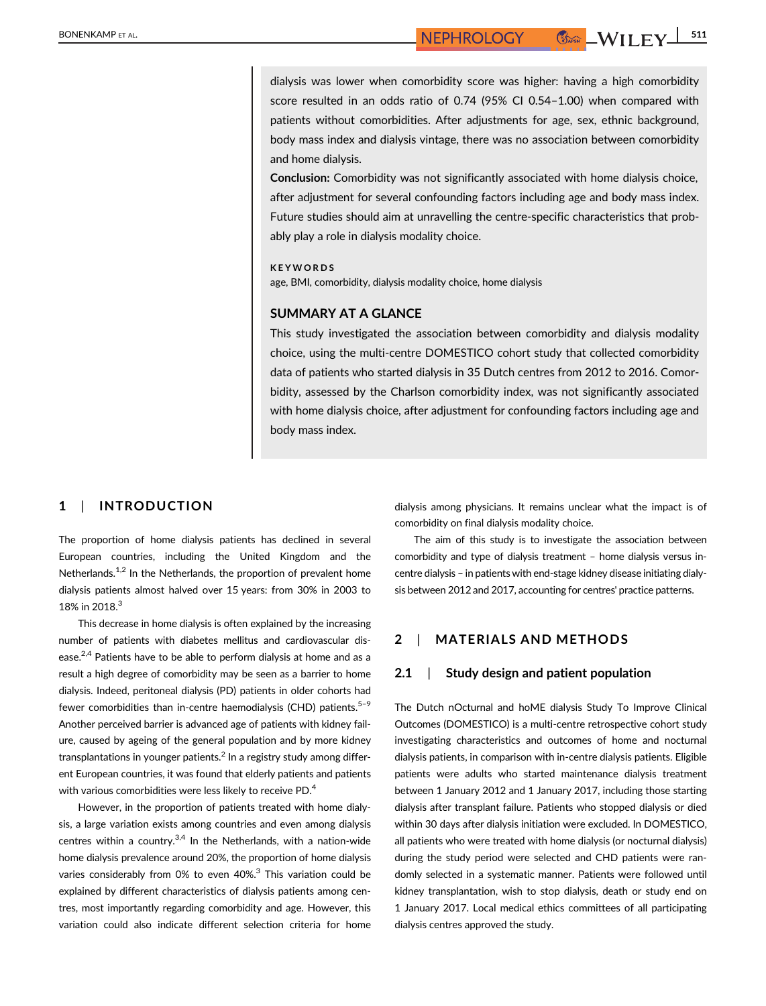dialysis was lower when comorbidity score was higher: having a high comorbidity score resulted in an odds ratio of 0.74 (95% CI 0.54–1.00) when compared with patients without comorbidities. After adjustments for age, sex, ethnic background, body mass index and dialysis vintage, there was no association between comorbidity and home dialysis.

Conclusion: Comorbidity was not significantly associated with home dialysis choice, after adjustment for several confounding factors including age and body mass index. Future studies should aim at unravelling the centre-specific characteristics that probably play a role in dialysis modality choice.

#### **KEYWORDS**

age, BMI, comorbidity, dialysis modality choice, home dialysis

#### SUMMARY AT A GLANCE

This study investigated the association between comorbidity and dialysis modality choice, using the multi-centre DOMESTICO cohort study that collected comorbidity data of patients who started dialysis in 35 Dutch centres from 2012 to 2016. Comorbidity, assessed by the Charlson comorbidity index, was not significantly associated with home dialysis choice, after adjustment for confounding factors including age and body mass index.

## 1 | INTRODUCTION

The proportion of home dialysis patients has declined in several European countries, including the United Kingdom and the Netherlands.<sup>1,2</sup> In the Netherlands, the proportion of prevalent home dialysis patients almost halved over 15 years: from 30% in 2003 to 18% in 2018.<sup>3</sup>

This decrease in home dialysis is often explained by the increasing number of patients with diabetes mellitus and cardiovascular disease.<sup>2,4</sup> Patients have to be able to perform dialysis at home and as a result a high degree of comorbidity may be seen as a barrier to home dialysis. Indeed, peritoneal dialysis (PD) patients in older cohorts had fewer comorbidities than in-centre haemodialysis (CHD) patients. $5-9$ Another perceived barrier is advanced age of patients with kidney failure, caused by ageing of the general population and by more kidney transplantations in younger patients.<sup>2</sup> In a registry study among different European countries, it was found that elderly patients and patients with various comorbidities were less likely to receive PD.<sup>4</sup>

However, in the proportion of patients treated with home dialysis, a large variation exists among countries and even among dialysis centres within a country. $3,4$  In the Netherlands, with a nation-wide home dialysis prevalence around 20%, the proportion of home dialysis varies considerably from 0% to even  $40\%$ <sup>3</sup> This variation could be explained by different characteristics of dialysis patients among centres, most importantly regarding comorbidity and age. However, this variation could also indicate different selection criteria for home dialysis among physicians. It remains unclear what the impact is of comorbidity on final dialysis modality choice.

The aim of this study is to investigate the association between comorbidity and type of dialysis treatment – home dialysis versus incentre dialysis – in patients with end-stage kidney disease initiating dialysis between 2012 and 2017, accounting for centres' practice patterns.

# 2 | MATERIALS AND METHODS

## 2.1 | Study design and patient population

The Dutch nOcturnal and hoME dialysis Study To Improve Clinical Outcomes (DOMESTICO) is a multi-centre retrospective cohort study investigating characteristics and outcomes of home and nocturnal dialysis patients, in comparison with in-centre dialysis patients. Eligible patients were adults who started maintenance dialysis treatment between 1 January 2012 and 1 January 2017, including those starting dialysis after transplant failure. Patients who stopped dialysis or died within 30 days after dialysis initiation were excluded. In DOMESTICO, all patients who were treated with home dialysis (or nocturnal dialysis) during the study period were selected and CHD patients were randomly selected in a systematic manner. Patients were followed until kidney transplantation, wish to stop dialysis, death or study end on 1 January 2017. Local medical ethics committees of all participating dialysis centres approved the study.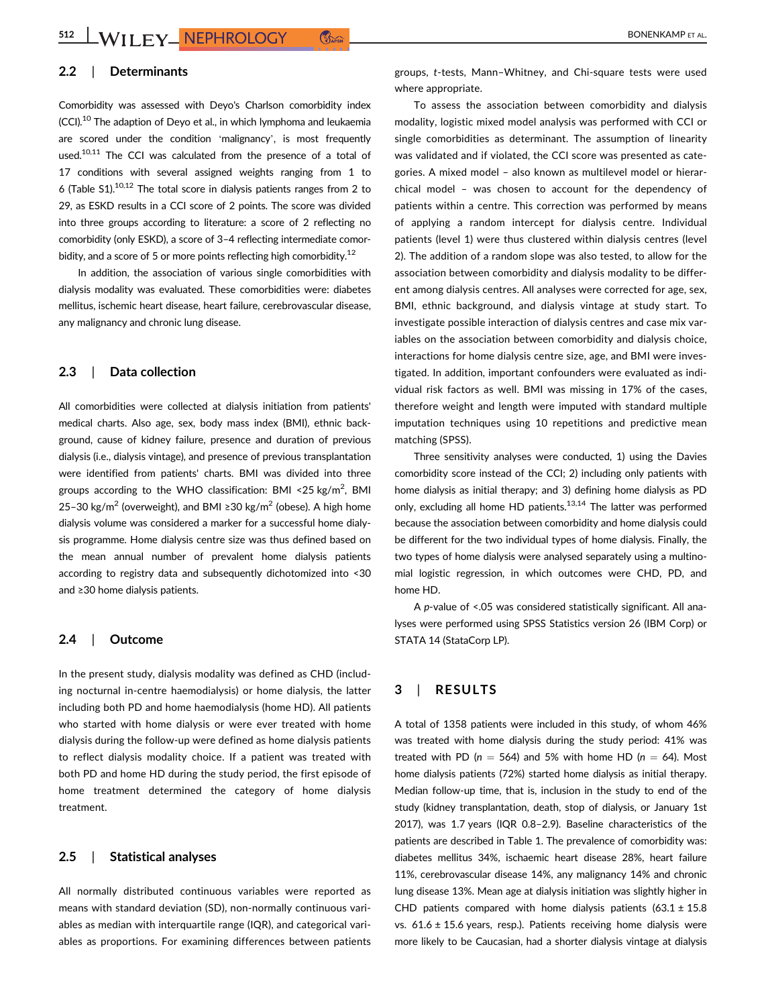## 2.2 | Determinants

Comorbidity was assessed with Deyo's Charlson comorbidity index (CCI).<sup>10</sup> The adaption of Deyo et al., in which lymphoma and leukaemia are scored under the condition 'malignancy', is most frequently used.<sup>10,11</sup> The CCI was calculated from the presence of a total of 17 conditions with several assigned weights ranging from 1 to 6 (Table  $S1$ ).<sup>10,12</sup> The total score in dialysis patients ranges from 2 to 29, as ESKD results in a CCI score of 2 points. The score was divided into three groups according to literature: a score of 2 reflecting no comorbidity (only ESKD), a score of 3–4 reflecting intermediate comorbidity, and a score of 5 or more points reflecting high comorbidity.<sup>12</sup>

In addition, the association of various single comorbidities with dialysis modality was evaluated. These comorbidities were: diabetes mellitus, ischemic heart disease, heart failure, cerebrovascular disease, any malignancy and chronic lung disease.

## 2.3 | Data collection

All comorbidities were collected at dialysis initiation from patients' medical charts. Also age, sex, body mass index (BMI), ethnic background, cause of kidney failure, presence and duration of previous dialysis (i.e., dialysis vintage), and presence of previous transplantation were identified from patients' charts. BMI was divided into three groups according to the WHO classification: BMI <25 kg/m<sup>2</sup>, BMI 25–30 kg/m<sup>2</sup> (overweight), and BMI ≥30 kg/m<sup>2</sup> (obese). A high home dialysis volume was considered a marker for a successful home dialysis programme. Home dialysis centre size was thus defined based on the mean annual number of prevalent home dialysis patients according to registry data and subsequently dichotomized into <30 and ≥30 home dialysis patients.

#### 2.4 | Outcome

In the present study, dialysis modality was defined as CHD (including nocturnal in-centre haemodialysis) or home dialysis, the latter including both PD and home haemodialysis (home HD). All patients who started with home dialysis or were ever treated with home dialysis during the follow-up were defined as home dialysis patients to reflect dialysis modality choice. If a patient was treated with both PD and home HD during the study period, the first episode of home treatment determined the category of home dialysis treatment.

# 2.5 | Statistical analyses

All normally distributed continuous variables were reported as means with standard deviation (SD), non-normally continuous variables as median with interquartile range (IQR), and categorical variables as proportions. For examining differences between patients

groups, t-tests, Mann–Whitney, and Chi-square tests were used where appropriate.

To assess the association between comorbidity and dialysis modality, logistic mixed model analysis was performed with CCI or single comorbidities as determinant. The assumption of linearity was validated and if violated, the CCI score was presented as categories. A mixed model – also known as multilevel model or hierarchical model – was chosen to account for the dependency of patients within a centre. This correction was performed by means of applying a random intercept for dialysis centre. Individual patients (level 1) were thus clustered within dialysis centres (level 2). The addition of a random slope was also tested, to allow for the association between comorbidity and dialysis modality to be different among dialysis centres. All analyses were corrected for age, sex, BMI, ethnic background, and dialysis vintage at study start. To investigate possible interaction of dialysis centres and case mix variables on the association between comorbidity and dialysis choice, interactions for home dialysis centre size, age, and BMI were investigated. In addition, important confounders were evaluated as individual risk factors as well. BMI was missing in 17% of the cases, therefore weight and length were imputed with standard multiple imputation techniques using 10 repetitions and predictive mean matching (SPSS).

Three sensitivity analyses were conducted, 1) using the Davies comorbidity score instead of the CCI; 2) including only patients with home dialysis as initial therapy; and 3) defining home dialysis as PD only, excluding all home HD patients.<sup>13,14</sup> The latter was performed because the association between comorbidity and home dialysis could be different for the two individual types of home dialysis. Finally, the two types of home dialysis were analysed separately using a multinomial logistic regression, in which outcomes were CHD, PD, and home HD.

A p-value of <.05 was considered statistically significant. All analyses were performed using SPSS Statistics version 26 (IBM Corp) or STATA 14 (StataCorp LP).

## 3 | RESULTS

A total of 1358 patients were included in this study, of whom 46% was treated with home dialysis during the study period: 41% was treated with PD ( $n = 564$ ) and 5% with home HD ( $n = 64$ ). Most home dialysis patients (72%) started home dialysis as initial therapy. Median follow-up time, that is, inclusion in the study to end of the study (kidney transplantation, death, stop of dialysis, or January 1st 2017), was 1.7 years (IQR 0.8–2.9). Baseline characteristics of the patients are described in Table 1. The prevalence of comorbidity was: diabetes mellitus 34%, ischaemic heart disease 28%, heart failure 11%, cerebrovascular disease 14%, any malignancy 14% and chronic lung disease 13%. Mean age at dialysis initiation was slightly higher in CHD patients compared with home dialysis patients  $(63.1 \pm 15.8$ vs.  $61.6 \pm 15.6$  years, resp.). Patients receiving home dialysis were more likely to be Caucasian, had a shorter dialysis vintage at dialysis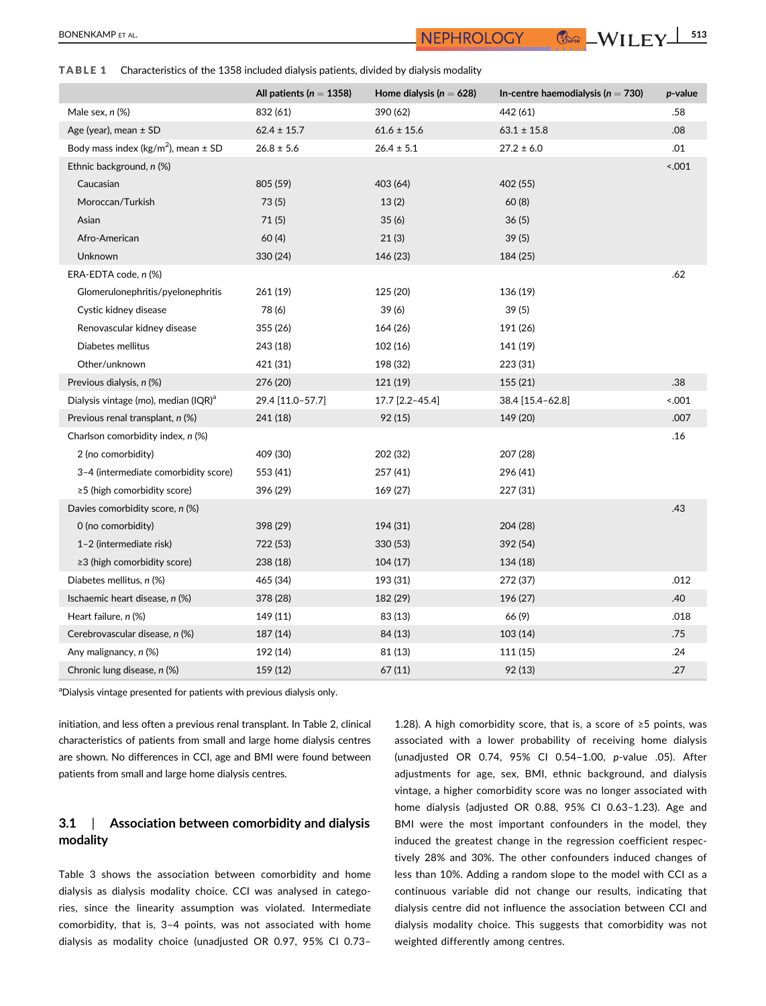TABLE 1 Characteristics of the 1358 included dialysis patients, divided by dialysis modality

|                                                     | All patients ( $n = 1358$ ) | Home dialysis ( $n = 628$ ) | In-centre haemodialysis ( $n = 730$ ) | p-value |
|-----------------------------------------------------|-----------------------------|-----------------------------|---------------------------------------|---------|
| Male sex, n (%)                                     | 832 (61)                    | 390 (62)                    | 442 (61)                              | .58     |
| Age (year), mean $\pm$ SD                           | $62.4 \pm 15.7$             | $61.6 \pm 15.6$             | $63.1 \pm 15.8$                       | .08     |
| Body mass index (kg/m <sup>2</sup> ), mean $\pm$ SD | $26.8 \pm 5.6$              | $26.4 \pm 5.1$              | $27.2 \pm 6.0$                        | .01     |
| Ethnic background, n (%)                            |                             |                             |                                       | < .001  |
| Caucasian                                           | 805 (59)                    | 403 (64)                    | 402 (55)                              |         |
| Moroccan/Turkish                                    | 73(5)                       | 13(2)                       | 60(8)                                 |         |
| Asian                                               | 71(5)                       | 35(6)                       | 36(5)                                 |         |
| Afro-American                                       | 60(4)                       | 21(3)                       | 39(5)                                 |         |
| Unknown                                             | 330 (24)                    | 146 (23)                    | 184 (25)                              |         |
| ERA-EDTA code, n (%)                                |                             |                             |                                       | .62     |
| Glomerulonephritis/pyelonephritis                   | 261 (19)                    | 125 (20)                    | 136 (19)                              |         |
| Cystic kidney disease                               | 78 (6)                      | 39(6)                       | 39(5)                                 |         |
| Renovascular kidney disease                         | 355 (26)                    | 164 (26)                    | 191 (26)                              |         |
| Diabetes mellitus                                   | 243 (18)                    | 102 (16)                    | 141 (19)                              |         |
| Other/unknown                                       | 421 (31)                    | 198 (32)                    | 223 (31)                              |         |
| Previous dialysis, n (%)                            | 276 (20)                    | 121 (19)                    | 155 (21)                              | .38     |
| Dialysis vintage (mo), median (IQR) <sup>a</sup>    | 29.4 [11.0-57.7]            | 17.7 [2.2-45.4]             | 38.4 [15.4-62.8]                      | < .001  |
| Previous renal transplant, n (%)                    | 241 (18)                    | 92(15)                      | 149 (20)                              | .007    |
| Charlson comorbidity index, n (%)                   |                             |                             |                                       | .16     |
| 2 (no comorbidity)                                  | 409 (30)                    | 202 (32)                    | 207 (28)                              |         |
| 3-4 (intermediate comorbidity score)                | 553 (41)                    | 257 (41)                    | 296 (41)                              |         |
| $\geq$ 5 (high comorbidity score)                   | 396 (29)                    | 169 (27)                    | 227 (31)                              |         |
| Davies comorbidity score, n (%)                     |                             |                             |                                       | .43     |
| 0 (no comorbidity)                                  | 398 (29)                    | 194 (31)                    | 204 (28)                              |         |
| 1-2 (intermediate risk)                             | 722 (53)                    | 330 (53)                    | 392 (54)                              |         |
| ≥3 (high comorbidity score)                         | 238 (18)                    | 104(17)                     | 134 (18)                              |         |
| Diabetes mellitus, n (%)                            | 465 (34)                    | 193 (31)                    | 272 (37)                              | .012    |
| Ischaemic heart disease, n (%)                      | 378 (28)                    | 182 (29)                    | 196 (27)                              | .40     |
| Heart failure, n (%)                                | 149 (11)                    | 83 (13)                     | 66 (9)                                | .018    |
| Cerebrovascular disease, n (%)                      | 187 (14)                    | 84 (13)                     | 103 (14)                              | .75     |
| Any malignancy, n (%)                               | 192 (14)                    | 81 (13)                     | 111 (15)                              | .24     |
| Chronic lung disease, n (%)                         | 159 (12)                    | 67 (11)                     | 92(13)                                | .27     |

<sup>a</sup>Dialysis vintage presented for patients with previous dialysis only.

initiation, and less often a previous renal transplant. In Table 2, clinical characteristics of patients from small and large home dialysis centres are shown. No differences in CCI, age and BMI were found between patients from small and large home dialysis centres.

# 3.1 | Association between comorbidity and dialysis modality

Table 3 shows the association between comorbidity and home dialysis as dialysis modality choice. CCI was analysed in categories, since the linearity assumption was violated. Intermediate comorbidity, that is, 3–4 points, was not associated with home dialysis as modality choice (unadjusted OR 0.97, 95% CI 0.73–

1.28). A high comorbidity score, that is, a score of ≥5 points, was associated with a lower probability of receiving home dialysis (unadjusted OR 0.74, 95% CI 0.54–1.00, p-value .05). After adjustments for age, sex, BMI, ethnic background, and dialysis vintage, a higher comorbidity score was no longer associated with home dialysis (adjusted OR 0.88, 95% CI 0.63–1.23). Age and BMI were the most important confounders in the model, they induced the greatest change in the regression coefficient respectively 28% and 30%. The other confounders induced changes of less than 10%. Adding a random slope to the model with CCI as a continuous variable did not change our results, indicating that dialysis centre did not influence the association between CCI and dialysis modality choice. This suggests that comorbidity was not weighted differently among centres.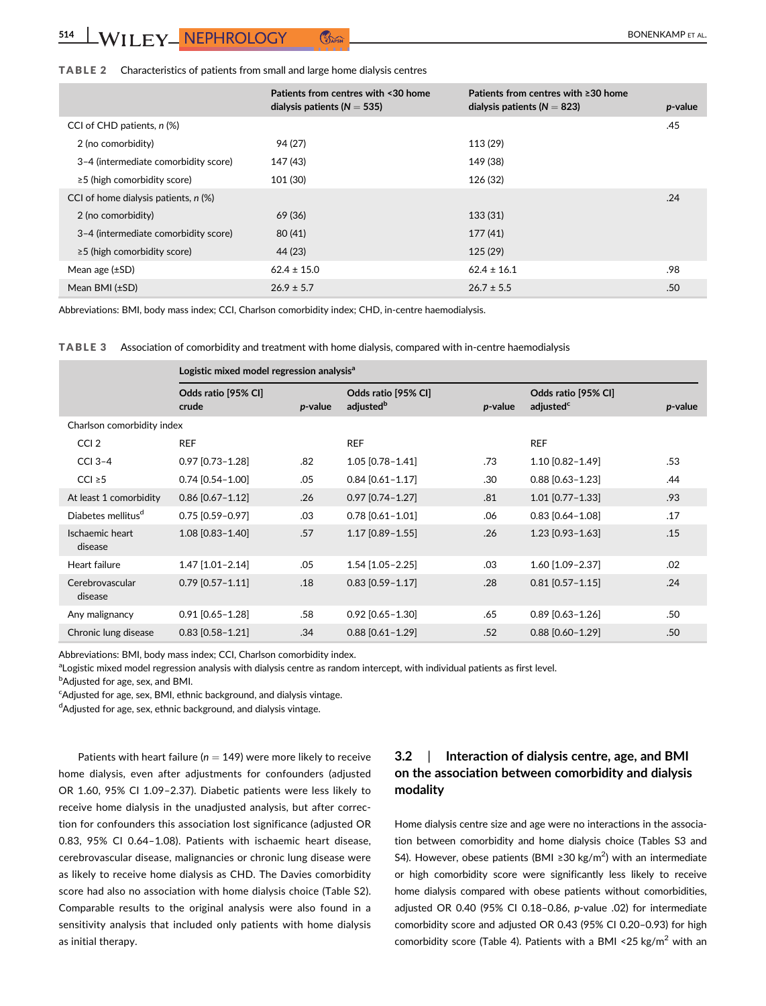## TABLE 2 Characteristics of patients from small and large home dialysis centres

|                                        | Patients from centres with <30 home<br>dialysis patients ( $N = 535$ ) | Patients from centres with ≥30 home<br>dialysis patients ( $N = 823$ ) | <i>p</i> -value |
|----------------------------------------|------------------------------------------------------------------------|------------------------------------------------------------------------|-----------------|
| CCI of CHD patients, n (%)             |                                                                        |                                                                        | .45             |
| 2 (no comorbidity)                     | 94 (27)                                                                | 113 (29)                                                               |                 |
| 3-4 (intermediate comorbidity score)   | 147 (43)                                                               | 149 (38)                                                               |                 |
| $\geq$ 5 (high comorbidity score)      | 101 (30)                                                               | 126 (32)                                                               |                 |
| CCI of home dialysis patients, $n$ (%) |                                                                        |                                                                        | .24             |
| 2 (no comorbidity)                     | 69 (36)                                                                | 133 (31)                                                               |                 |
| 3-4 (intermediate comorbidity score)   | 80(41)                                                                 | 177(41)                                                                |                 |
| $\geq$ 5 (high comorbidity score)      | 44 (23)                                                                | 125(29)                                                                |                 |
| Mean age $(\pm SD)$                    | $62.4 \pm 15.0$                                                        | $62.4 \pm 16.1$                                                        | .98             |
| Mean $BMI$ ( $\pm SD$ )                | $26.9 \pm 5.7$                                                         | $26.7 \pm 5.5$                                                         | .50             |

Abbreviations: BMI, body mass index; CCI, Charlson comorbidity index; CHD, in-centre haemodialysis.

TABLE 3 Association of comorbidity and treatment with home dialysis, compared with in-centre haemodialysis

|                                | Logistic mixed model regression analysis <sup>a</sup> |         |                                              |            |                                              |            |
|--------------------------------|-------------------------------------------------------|---------|----------------------------------------------|------------|----------------------------------------------|------------|
|                                | Odds ratio [95% CI]<br>crude                          | p-value | Odds ratio [95% CI]<br>adjusted <sup>b</sup> | $p$ -value | Odds ratio [95% CI]<br>adjusted <sup>c</sup> | $p$ -value |
| Charlson comorbidity index     |                                                       |         |                                              |            |                                              |            |
| CCI <sub>2</sub>               | <b>REF</b>                                            |         | <b>REF</b>                                   |            | <b>REF</b>                                   |            |
| CCI $3-4$                      | $0.97$ [0.73-1.28]                                    | .82     | 1.05 [0.78-1.41]                             | .73        | 1.10 [0.82-1.49]                             | .53        |
| $ CC  \geq 5$                  | $0.74$ [0.54-1.00]                                    | .05     | $0.84$ [0.61-1.17]                           | .30        | $0.88$ [0.63-1.23]                           | .44        |
| At least 1 comorbidity         | $0.86$ [0.67-1.12]                                    | .26     | $0.97$ [0.74-1.27]                           | .81        | $1.01$ [0.77-1.33]                           | .93        |
| Diabetes mellitus <sup>d</sup> | $0.75$ [0.59-0.97]                                    | .03     | $0.78$ [0.61-1.01]                           | .06        | $0.83$ [0.64-1.08]                           | .17        |
| Ischaemic heart<br>disease     | 1.08 [0.83-1.40]                                      | .57     | $1.17$ [0.89-1.55]                           | .26        | $1.23$ [0.93-1.63]                           | .15        |
| Heart failure                  | 1.47 [1.01-2.14]                                      | .05     | $1.54$ [1.05-2.25]                           | .03        | 1.60 [1.09-2.37]                             | .02        |
| Cerebrovascular<br>disease     | $0.79$ [0.57-1.11]                                    | .18     | $0.83$ [0.59-1.17]                           | .28        | $0.81$ [0.57-1.15]                           | .24        |
| Any malignancy                 | $0.91$ [0.65-1.28]                                    | .58     | $0.92$ [0.65-1.30]                           | .65        | $0.89$ [0.63-1.26]                           | .50        |
| Chronic lung disease           | $0.83$ [0.58-1.21]                                    | .34     | $0.88$ [0.61-1.29]                           | .52        | $0.88$ [0.60-1.29]                           | .50        |

Abbreviations: BMI, body mass index; CCI, Charlson comorbidity index.

aLogistic mixed model regression analysis with dialysis centre as random intercept, with individual patients as first level. **bAdjusted for age, sex, and BMI.** 

<sup>c</sup>Adjusted for age, sex, BMI, ethnic background, and dialysis vintage.

dAdjusted for age, sex, ethnic background, and dialysis vintage.

Patients with heart failure ( $n = 149$ ) were more likely to receive home dialysis, even after adjustments for confounders (adjusted OR 1.60, 95% CI 1.09–2.37). Diabetic patients were less likely to receive home dialysis in the unadjusted analysis, but after correction for confounders this association lost significance (adjusted OR 0.83, 95% CI 0.64–1.08). Patients with ischaemic heart disease, cerebrovascular disease, malignancies or chronic lung disease were as likely to receive home dialysis as CHD. The Davies comorbidity score had also no association with home dialysis choice (Table S2). Comparable results to the original analysis were also found in a sensitivity analysis that included only patients with home dialysis as initial therapy.

# 3.2 | Interaction of dialysis centre, age, and BMI on the association between comorbidity and dialysis modality

Home dialysis centre size and age were no interactions in the association between comorbidity and home dialysis choice (Tables S3 and S4). However, obese patients (BMI ≥30 kg/m<sup>2</sup>) with an intermediate or high comorbidity score were significantly less likely to receive home dialysis compared with obese patients without comorbidities, adjusted OR 0.40 (95% CI 0.18–0.86, p-value .02) for intermediate comorbidity score and adjusted OR 0.43 (95% CI 0.20–0.93) for high comorbidity score (Table 4). Patients with a BMI <25 kg/m<sup>2</sup> with an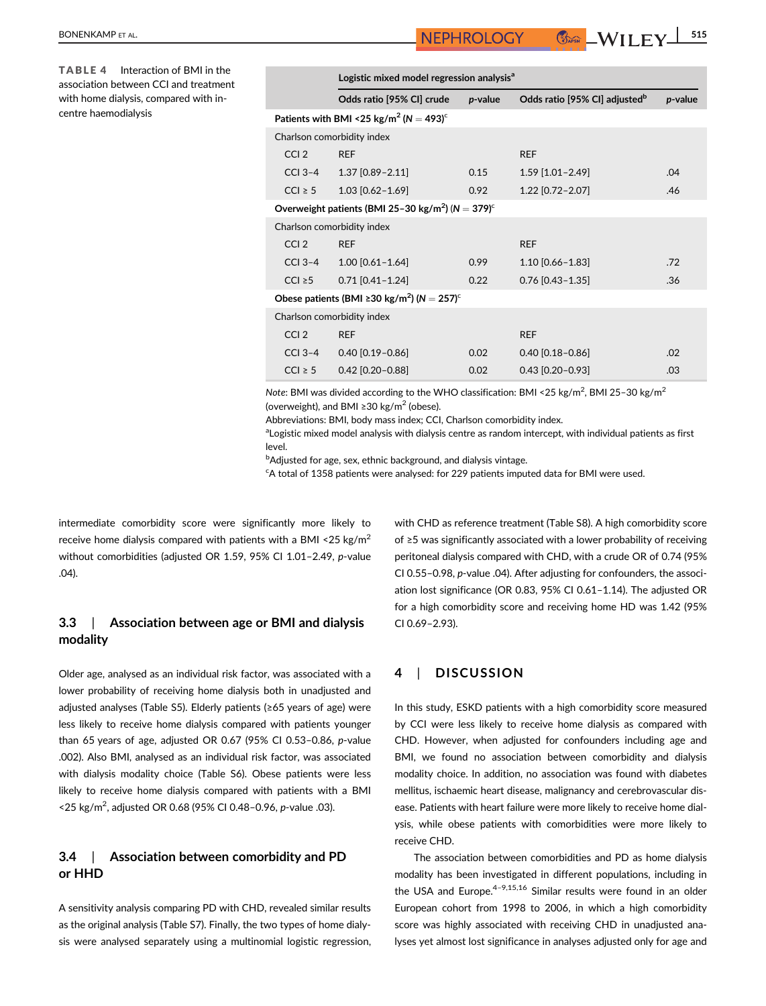TABLE 4 Interaction of BMI in the association between CCI and treatment with home dialysis, compared with incentre haemodialysis

|                                                                               | Logistic mixed model regression analysis <sup>a</sup>          |         |                                           |         |  |  |
|-------------------------------------------------------------------------------|----------------------------------------------------------------|---------|-------------------------------------------|---------|--|--|
|                                                                               | Odds ratio [95% CI] crude                                      | p-value | Odds ratio [95% CI] adjusted <sup>b</sup> | p-value |  |  |
|                                                                               | Patients with BMI <25 kg/m <sup>2</sup> (N = 493) <sup>c</sup> |         |                                           |         |  |  |
| Charlson comorbidity index                                                    |                                                                |         |                                           |         |  |  |
| CCI <sub>2</sub>                                                              | <b>REF</b>                                                     |         | <b>REF</b>                                |         |  |  |
| $CCI$ 3-4                                                                     | 1.37 [0.89-2.11]                                               | 0.15    | 1.59 [1.01-2.49]                          | .04     |  |  |
| $ CC  \geq 5$                                                                 | 1.03 [0.62-1.69]                                               | 0.92    | 1.22 [0.72-2.07]                          | .46     |  |  |
| Overweight patients (BMI 25-30 kg/m <sup>2</sup> ) ( $N = 379$ ) <sup>c</sup> |                                                                |         |                                           |         |  |  |
| Charlson comorbidity index                                                    |                                                                |         |                                           |         |  |  |
| CCI <sub>2</sub>                                                              | <b>REF</b>                                                     |         | <b>REF</b>                                |         |  |  |
| $CCI$ 3-4                                                                     | $1.00$ [0.61-1.64]                                             | 0.99    | 1.10 [0.66-1.83]                          | .72     |  |  |
| $ CC  \geq 5$                                                                 | $0.71$ [0.41-1.24]                                             | 0.22    | $0.76$ [0.43-1.35]                        | .36     |  |  |
| Obese patients (BMI $\geq$ 30 kg/m <sup>2</sup> ) (N = 257) <sup>c</sup>      |                                                                |         |                                           |         |  |  |
| Charlson comorbidity index                                                    |                                                                |         |                                           |         |  |  |
| CCI <sub>2</sub>                                                              | <b>REF</b>                                                     |         | <b>REF</b>                                |         |  |  |
| $CCI$ 3-4                                                                     | $0.40$ [0.19-0.86]                                             | 0.02    | $0.40$ [0.18-0.86]                        | .02     |  |  |
| $ CC  \geq 5$                                                                 | $0.42$ [0.20-0.88]                                             | 0.02    | $0.43$ [0.20-0.93]                        | .03     |  |  |

Note: BMI was divided according to the WHO classification: BMI <25 kg/m<sup>2</sup>, BMI 25-30 kg/m<sup>2</sup> (overweight), and BMI ≥30 kg/m<sup>2</sup> (obese).

Abbreviations: BMI, body mass index; CCI, Charlson comorbidity index.

<sup>a</sup>Logistic mixed model analysis with dialysis centre as random intercept, with individual patients as first level.

b Adjusted for age, sex, ethnic background, and dialysis vintage.

<sup>c</sup>A total of 1358 patients were analysed: for 229 patients imputed data for BMI were used.

intermediate comorbidity score were significantly more likely to receive home dialysis compared with patients with a BMI <25 kg/m<sup>2</sup> without comorbidities (adjusted OR 1.59, 95% CI 1.01–2.49, p-value .04).

# 3.3 | Association between age or BMI and dialysis modality

Older age, analysed as an individual risk factor, was associated with a lower probability of receiving home dialysis both in unadjusted and adjusted analyses (Table S5). Elderly patients (≥65 years of age) were less likely to receive home dialysis compared with patients younger than 65 years of age, adjusted OR 0.67 (95% CI 0.53–0.86, p-value .002). Also BMI, analysed as an individual risk factor, was associated with dialysis modality choice (Table S6). Obese patients were less likely to receive home dialysis compared with patients with a BMI <25 kg/m<sup>2</sup>, adjusted OR 0.68 (95% CI 0.48-0.96, p-value .03).

# 3.4 | Association between comorbidity and PD or HHD

A sensitivity analysis comparing PD with CHD, revealed similar results as the original analysis (Table S7). Finally, the two types of home dialysis were analysed separately using a multinomial logistic regression, with CHD as reference treatment (Table S8). A high comorbidity score of ≥5 was significantly associated with a lower probability of receiving peritoneal dialysis compared with CHD, with a crude OR of 0.74 (95% CI 0.55–0.98, p-value .04). After adjusting for confounders, the association lost significance (OR 0.83, 95% CI 0.61–1.14). The adjusted OR for a high comorbidity score and receiving home HD was 1.42 (95% CI 0.69–2.93).

# 4 | DISCUSSION

In this study, ESKD patients with a high comorbidity score measured by CCI were less likely to receive home dialysis as compared with CHD. However, when adjusted for confounders including age and BMI, we found no association between comorbidity and dialysis modality choice. In addition, no association was found with diabetes mellitus, ischaemic heart disease, malignancy and cerebrovascular disease. Patients with heart failure were more likely to receive home dialysis, while obese patients with comorbidities were more likely to receive CHD.

The association between comorbidities and PD as home dialysis modality has been investigated in different populations, including in the USA and Europe. $4-9,15,16$  Similar results were found in an older European cohort from 1998 to 2006, in which a high comorbidity score was highly associated with receiving CHD in unadjusted analyses yet almost lost significance in analyses adjusted only for age and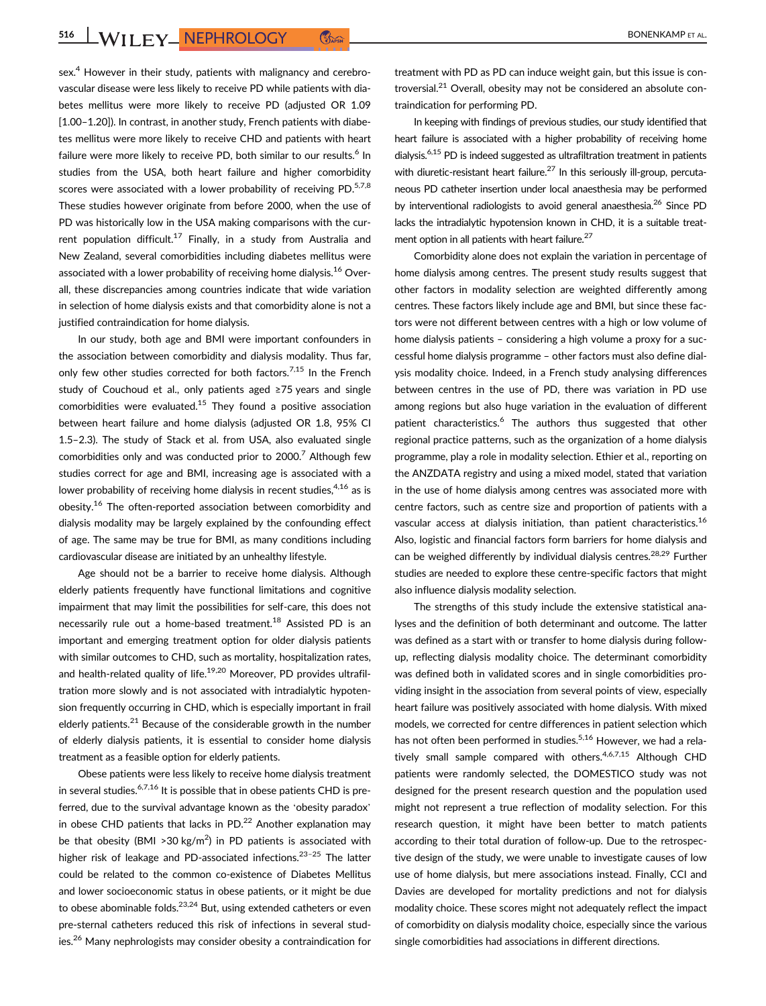516 WILEY NEPHROLOGY COME **COME COME COME CONTRACT AL.** 

sex.<sup>4</sup> However in their study, patients with malignancy and cerebrovascular disease were less likely to receive PD while patients with diabetes mellitus were more likely to receive PD (adjusted OR 1.09 [1.00–1.20]). In contrast, in another study, French patients with diabetes mellitus were more likely to receive CHD and patients with heart failure were more likely to receive PD, both similar to our results.<sup>6</sup> In studies from the USA, both heart failure and higher comorbidity scores were associated with a lower probability of receiving PD. $57,8$ These studies however originate from before 2000, when the use of PD was historically low in the USA making comparisons with the current population difficult.<sup>17</sup> Finally, in a study from Australia and New Zealand, several comorbidities including diabetes mellitus were associated with a lower probability of receiving home dialysis.<sup>16</sup> Overall, these discrepancies among countries indicate that wide variation in selection of home dialysis exists and that comorbidity alone is not a justified contraindication for home dialysis.

In our study, both age and BMI were important confounders in the association between comorbidity and dialysis modality. Thus far, only few other studies corrected for both factors.<sup>7,15</sup> In the French study of Couchoud et al., only patients aged ≥75 years and single comorbidities were evaluated.<sup>15</sup> They found a positive association between heart failure and home dialysis (adjusted OR 1.8, 95% CI 1.5–2.3). The study of Stack et al. from USA, also evaluated single comorbidities only and was conducted prior to  $2000$ .<sup>7</sup> Although few studies correct for age and BMI, increasing age is associated with a lower probability of receiving home dialysis in recent studies,  $4,16$  as is obesity.16 The often-reported association between comorbidity and dialysis modality may be largely explained by the confounding effect of age. The same may be true for BMI, as many conditions including cardiovascular disease are initiated by an unhealthy lifestyle.

Age should not be a barrier to receive home dialysis. Although elderly patients frequently have functional limitations and cognitive impairment that may limit the possibilities for self-care, this does not necessarily rule out a home-based treatment.<sup>18</sup> Assisted PD is an important and emerging treatment option for older dialysis patients with similar outcomes to CHD, such as mortality, hospitalization rates, and health-related quality of life.<sup>19,20</sup> Moreover, PD provides ultrafiltration more slowly and is not associated with intradialytic hypotension frequently occurring in CHD, which is especially important in frail elderly patients.<sup>21</sup> Because of the considerable growth in the number of elderly dialysis patients, it is essential to consider home dialysis treatment as a feasible option for elderly patients.

Obese patients were less likely to receive home dialysis treatment in several studies.<sup>6,7,16</sup> It is possible that in obese patients CHD is preferred, due to the survival advantage known as the 'obesity paradox' in obese CHD patients that lacks in PD. $^{22}$  Another explanation may be that obesity (BMI > 30 kg/m<sup>2</sup>) in PD patients is associated with higher risk of leakage and PD-associated infections.<sup>23-25</sup> The latter could be related to the common co-existence of Diabetes Mellitus and lower socioeconomic status in obese patients, or it might be due to obese abominable folds. $23,24$  But, using extended catheters or even pre-sternal catheters reduced this risk of infections in several studies.<sup>26</sup> Many nephrologists may consider obesity a contraindication for

treatment with PD as PD can induce weight gain, but this issue is controversial.<sup>21</sup> Overall, obesity may not be considered an absolute contraindication for performing PD.

In keeping with findings of previous studies, our study identified that heart failure is associated with a higher probability of receiving home dialysis.6,15 PD is indeed suggested as ultrafiltration treatment in patients with diuretic-resistant heart failure.<sup>27</sup> In this seriously ill-group, percutaneous PD catheter insertion under local anaesthesia may be performed by interventional radiologists to avoid general anaesthesia.<sup>26</sup> Since PD lacks the intradialytic hypotension known in CHD, it is a suitable treatment option in all patients with heart failure.<sup>27</sup>

Comorbidity alone does not explain the variation in percentage of home dialysis among centres. The present study results suggest that other factors in modality selection are weighted differently among centres. These factors likely include age and BMI, but since these factors were not different between centres with a high or low volume of home dialysis patients – considering a high volume a proxy for a successful home dialysis programme – other factors must also define dialysis modality choice. Indeed, in a French study analysing differences between centres in the use of PD, there was variation in PD use among regions but also huge variation in the evaluation of different patient characteristics.<sup>6</sup> The authors thus suggested that other regional practice patterns, such as the organization of a home dialysis programme, play a role in modality selection. Ethier et al., reporting on the ANZDATA registry and using a mixed model, stated that variation in the use of home dialysis among centres was associated more with centre factors, such as centre size and proportion of patients with a vascular access at dialysis initiation, than patient characteristics.<sup>16</sup> Also, logistic and financial factors form barriers for home dialysis and can be weighed differently by individual dialysis centres.<sup>28,29</sup> Further studies are needed to explore these centre-specific factors that might also influence dialysis modality selection.

The strengths of this study include the extensive statistical analyses and the definition of both determinant and outcome. The latter was defined as a start with or transfer to home dialysis during followup, reflecting dialysis modality choice. The determinant comorbidity was defined both in validated scores and in single comorbidities providing insight in the association from several points of view, especially heart failure was positively associated with home dialysis. With mixed models, we corrected for centre differences in patient selection which has not often been performed in studies.<sup>5,16</sup> However, we had a relatively small sample compared with others.<sup>4,6,7,15</sup> Although CHD patients were randomly selected, the DOMESTICO study was not designed for the present research question and the population used might not represent a true reflection of modality selection. For this research question, it might have been better to match patients according to their total duration of follow-up. Due to the retrospective design of the study, we were unable to investigate causes of low use of home dialysis, but mere associations instead. Finally, CCI and Davies are developed for mortality predictions and not for dialysis modality choice. These scores might not adequately reflect the impact of comorbidity on dialysis modality choice, especially since the various single comorbidities had associations in different directions.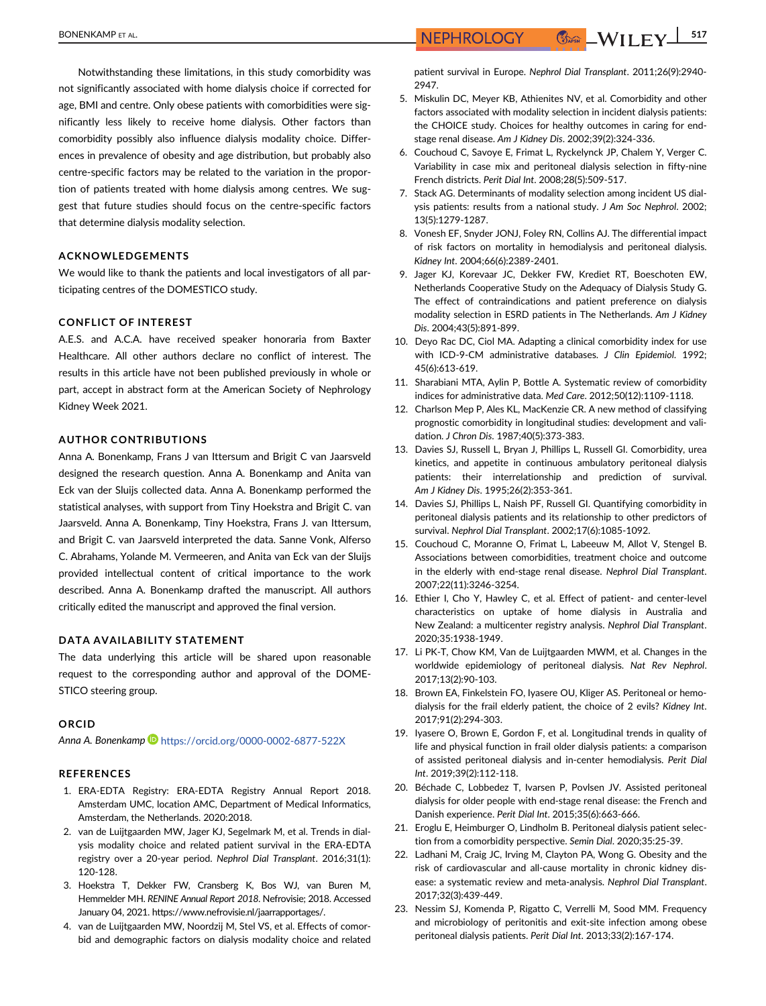Notwithstanding these limitations, in this study comorbidity was not significantly associated with home dialysis choice if corrected for age, BMI and centre. Only obese patients with comorbidities were significantly less likely to receive home dialysis. Other factors than comorbidity possibly also influence dialysis modality choice. Differences in prevalence of obesity and age distribution, but probably also centre-specific factors may be related to the variation in the proportion of patients treated with home dialysis among centres. We suggest that future studies should focus on the centre-specific factors that determine dialysis modality selection.

## ACKNOWLEDGEMENTS

We would like to thank the patients and local investigators of all participating centres of the DOMESTICO study.

## CONFLICT OF INTEREST

A.E.S. and A.C.A. have received speaker honoraria from Baxter Healthcare. All other authors declare no conflict of interest. The results in this article have not been published previously in whole or part, accept in abstract form at the American Society of Nephrology Kidney Week 2021.

#### AUTHOR CONTRIBUTIONS

Anna A. Bonenkamp, Frans J van Ittersum and Brigit C van Jaarsveld designed the research question. Anna A. Bonenkamp and Anita van Eck van der Sluijs collected data. Anna A. Bonenkamp performed the statistical analyses, with support from Tiny Hoekstra and Brigit C. van Jaarsveld. Anna A. Bonenkamp, Tiny Hoekstra, Frans J. van Ittersum, and Brigit C. van Jaarsveld interpreted the data. Sanne Vonk, Alferso C. Abrahams, Yolande M. Vermeeren, and Anita van Eck van der Sluijs provided intellectual content of critical importance to the work described. Anna A. Bonenkamp drafted the manuscript. All authors critically edited the manuscript and approved the final version.

#### DATA AVAILABILITY STATEMENT

The data underlying this article will be shared upon reasonable request to the corresponding author and approval of the DOME-STICO steering group.

#### ORCID

Anna A. Bonenkamp D <https://orcid.org/0000-0002-6877-522X>

#### REFERENCES

- 1. ERA-EDTA Registry: ERA-EDTA Registry Annual Report 2018. Amsterdam UMC, location AMC, Department of Medical Informatics, Amsterdam, the Netherlands. 2020:2018.
- 2. van de Luijtgaarden MW, Jager KJ, Segelmark M, et al. Trends in dialysis modality choice and related patient survival in the ERA-EDTA registry over a 20-year period. Nephrol Dial Transplant. 2016;31(1): 120-128.
- 3. Hoekstra T, Dekker FW, Cransberg K, Bos WJ, van Buren M, Hemmelder MH. RENINE Annual Report 2018. Nefrovisie; 2018. Accessed January 04, 2021.<https://www.nefrovisie.nl/jaarrapportages/>.
- 4. van de Luijtgaarden MW, Noordzij M, Stel VS, et al. Effects of comorbid and demographic factors on dialysis modality choice and related

patient survival in Europe. Nephrol Dial Transplant. 2011;26(9):2940- 2947.

- 5. Miskulin DC, Meyer KB, Athienites NV, et al. Comorbidity and other factors associated with modality selection in incident dialysis patients: the CHOICE study. Choices for healthy outcomes in caring for endstage renal disease. Am J Kidney Dis. 2002;39(2):324-336.
- 6. Couchoud C, Savoye E, Frimat L, Ryckelynck JP, Chalem Y, Verger C. Variability in case mix and peritoneal dialysis selection in fifty-nine French districts. Perit Dial Int. 2008;28(5):509-517.
- 7. Stack AG. Determinants of modality selection among incident US dialysis patients: results from a national study. J Am Soc Nephrol. 2002; 13(5):1279-1287.
- 8. Vonesh EF, Snyder JONJ, Foley RN, Collins AJ. The differential impact of risk factors on mortality in hemodialysis and peritoneal dialysis. Kidney Int. 2004;66(6):2389-2401.
- 9. Jager KJ, Korevaar JC, Dekker FW, Krediet RT, Boeschoten EW, Netherlands Cooperative Study on the Adequacy of Dialysis Study G. The effect of contraindications and patient preference on dialysis modality selection in ESRD patients in The Netherlands. Am J Kidney Dis. 2004;43(5):891-899.
- 10. Deyo Rac DC, Ciol MA. Adapting a clinical comorbidity index for use with ICD-9-CM administrative databases. J Clin Epidemiol. 1992; 45(6):613-619.
- 11. Sharabiani MTA, Aylin P, Bottle A. Systematic review of comorbidity indices for administrative data. Med Care. 2012;50(12):1109-1118.
- 12. Charlson Mep P, Ales KL, MacKenzie CR. A new method of classifying prognostic comorbidity in longitudinal studies: development and validation. J Chron Dis. 1987;40(5):373-383.
- 13. Davies SJ, Russell L, Bryan J, Phillips L, Russell GI. Comorbidity, urea kinetics, and appetite in continuous ambulatory peritoneal dialysis patients: their interrelationship and prediction of survival. Am J Kidney Dis. 1995;26(2):353-361.
- 14. Davies SJ, Phillips L, Naish PF, Russell GI. Quantifying comorbidity in peritoneal dialysis patients and its relationship to other predictors of survival. Nephrol Dial Transplant. 2002;17(6):1085-1092.
- 15. Couchoud C, Moranne O, Frimat L, Labeeuw M, Allot V, Stengel B. Associations between comorbidities, treatment choice and outcome in the elderly with end-stage renal disease. Nephrol Dial Transplant. 2007;22(11):3246-3254.
- 16. Ethier I, Cho Y, Hawley C, et al. Effect of patient- and center-level characteristics on uptake of home dialysis in Australia and New Zealand: a multicenter registry analysis. Nephrol Dial Transplant. 2020;35:1938-1949.
- 17. Li PK-T, Chow KM, Van de Luijtgaarden MWM, et al. Changes in the worldwide epidemiology of peritoneal dialysis. Nat Rev Nephrol. 2017;13(2):90-103.
- 18. Brown EA, Finkelstein FO, Iyasere OU, Kliger AS. Peritoneal or hemodialysis for the frail elderly patient, the choice of 2 evils? Kidney Int. 2017;91(2):294-303.
- 19. Iyasere O, Brown E, Gordon F, et al. Longitudinal trends in quality of life and physical function in frail older dialysis patients: a comparison of assisted peritoneal dialysis and in-center hemodialysis. Perit Dial Int. 2019;39(2):112-118.
- 20. Béchade C, Lobbedez T, Ivarsen P, Povlsen JV. Assisted peritoneal dialysis for older people with end-stage renal disease: the French and Danish experience. Perit Dial Int. 2015;35(6):663-666.
- 21. Eroglu E, Heimburger O, Lindholm B. Peritoneal dialysis patient selection from a comorbidity perspective. Semin Dial. 2020;35:25-39.
- 22. Ladhani M, Craig JC, Irving M, Clayton PA, Wong G. Obesity and the risk of cardiovascular and all-cause mortality in chronic kidney disease: a systematic review and meta-analysis. Nephrol Dial Transplant. 2017;32(3):439-449.
- 23. Nessim SJ, Komenda P, Rigatto C, Verrelli M, Sood MM. Frequency and microbiology of peritonitis and exit-site infection among obese peritoneal dialysis patients. Perit Dial Int. 2013;33(2):167-174.